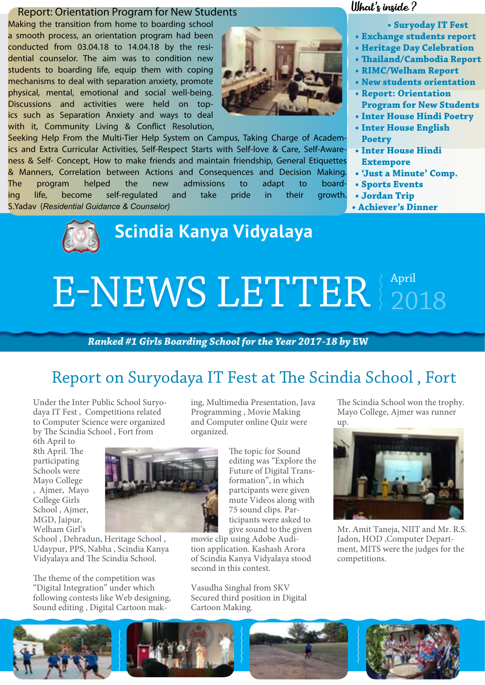### Report: Orientation Program for New Students

Making the transition from home to boarding school a smooth process, an orientation program had been conducted from 03.04.18 to 14.04.18 by the residential counselor. The aim was to condition new students to boarding life, equip them with coping mechanisms to deal with separation anxiety, promote physical, mental, emotional and social well-being. Discussions and activities were held on topics such as Separation Anxiety and ways to deal with it, Community Living & Conflict Resolution,

Seeking Help From the Multi-Tier Help System on Campus, Taking Charge of Academics and Extra Curricular Activities, Self-Respect Starts with Self-love & Care, Self-Awareness & Self- Concept, How to make friends and maintain friendship, General Etiquettes & Manners, Correlation between Actions and Consequences and Decision Making. The program helped the new admissions to adapt to boarding life, become self-regulated and take pride in their growth. S.Yadav (*Residential Guidance & Counselor)*

### What's inside ?

- **• Suryoday IT Fest**
- **• Exchange students report**
- **• Heritage Day Celebration**
- **• Thailand/Cambodia Report**
- **• RIMC/Welham Report**
- **• New students orientation**
- **• Report: Orientation Program for New Students**
- **• Inter House Hindi Poetry**
- **• Inter House English Poetry**
- **• Inter House Hindi Extempore**
- **• 'Just a Minute' Comp.**
- **• Sports Events**
- **• Jordan Trip**
- **• Achiever's Dinner**



## **Scindia Kanya Vidyalaya**

# E-NEWS LETTER  $_{2018}^{April}$

### *Ranked #1 Girls Boarding School for the Year 2017-18 by* **EW**

### Report on Suryodaya IT Fest at The Scindia School , Fort

Under the Inter Public School Suryodaya IT Fest , Competitions related to Computer Science were organized by The Scindia School , Fort from

6th April to 8th April. The participating Schools were Mayo College , Ajmer, Mayo College Girls School , Ajmer, MGD, Jaipur, Welham Girl's

School , Dehradun, Heritage School , Udaypur, PPS, Nabha , Scindia Kanya Vidyalaya and The Scindia School.

The theme of the competition was "Digital Integration" under which following contests like Web designing, Sound editing , Digital Cartoon making, Multimedia Presentation, Java Programming , Movie Making and Computer online Quiz were organized.

> The topic for Sound editing was "Explore the Future of Digital Transformation", in which partcipants were given mute Videos along with 75 sound clips. Participants were asked to give sound to the given

movie clip using Adobe Audition application. Kashash Arora of Scindia Kanya Vidyalaya stood second in this contest.

Vasudha Singhal from SKV Secured third position in Digital Cartoon Making.

The Scindia School won the trophy. Mayo College, Ajmer was runner up.



Mr. Amit Taneja, NIIT and Mr. R.S. Jadon, HOD ,Computer Department, MITS were the judges for the competitions.







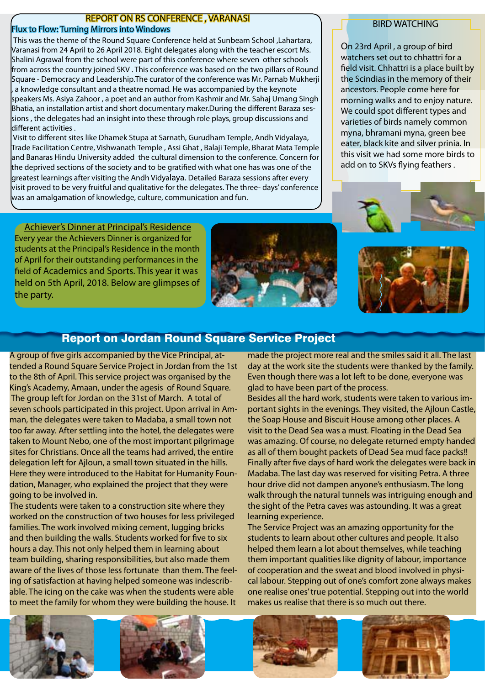### REPORT ON RS CONFERENCE , VARANASI

### Flux to Flow: Turning Mirrors into Windows

This was the theme of the Round Square Conference held at Sunbeam School ,Lahartara, Varanasi from 24 April to 26 April 2018. Eight delegates along with the teacher escort Ms. Shalini Agrawal from the school were part of this conference where seven other schools from across the country joined SKV . This conference was based on the two pillars of Round Square - Democracy and Leadership.The curator of the conference was Mr. Parnab Mukherji a knowledge consultant and a theatre nomad. He was accompanied by the keynote speakers Ms. Asiya Zahoor , a poet and an author from Kashmir and Mr. Sahaj Umang Singh Bhatia, an installation artist and short documentary maker.During the different Baraza sessions , the delegates had an insight into these through role plays, group discussions and different activities .

 Visit to different sites like Dhamek Stupa at Sarnath, Gurudham Temple, Andh Vidyalaya, Trade Facilitation Centre, Vishwanath Temple , Assi Ghat , Balaji Temple, Bharat Mata Temple and Banaras Hindu University added the cultural dimension to the conference. Concern for the deprived sections of the society and to be gratified with what one has was one of the greatest learnings after visiting the Andh Vidyalaya. Detailed Baraza sessions after every visit proved to be very fruitful and qualitative for the delegates. The three- days' conference was an amalgamation of knowledge, culture, communication and fun.

### BIRD WATCHING

On 23rd April , a group of bird watchers set out to chhattri for a field visit. Chhattri is a place built by the Scindias in the memory of their ancestors. People come here for morning walks and to enjoy nature. We could spot different types and varieties of birds namely common myna, bhramani myna, green bee eater, black kite and silver prinia. In this visit we had some more birds to add on to SKVs flying feathers .

### Achiever's Dinner at Principal's Residence

Every year the Achievers Dinner is organized for students at the Principal's Residence in the month of April for their outstanding performances in the field of Academics and Sports. This year it was held on 5th April, 2018. Below are glimpses of the party.





### Report on Jordan Round Square Service Project

A group of five girls accompanied by the Vice Principal, attended a Round Square Service Project in Jordan from the 1st to the 8th of April. This service project was organised by the King's Academy, Amaan, under the agesis of Round Square. The group left for Jordan on the 31st of March. A total of seven schools participated in this project. Upon arrival in Amman, the delegates were taken to Madaba, a small town not too far away. After settling into the hotel, the delegates were taken to Mount Nebo, one of the most important pilgrimage sites for Christians. Once all the teams had arrived, the entire delegation left for Ajloun, a small town situated in the hills. Here they were introduced to the Habitat for Humanity Foundation, Manager, who explained the project that they were going to be involved in.

The students were taken to a construction site where they worked on the construction of two houses for less privileged families. The work involved mixing cement, lugging bricks and then building the walls. Students worked for five to six hours a day. This not only helped them in learning about team building, sharing responsibilities, but also made them aware of the lives of those less fortunate than them. The feeling of satisfaction at having helped someone was indescribable. The icing on the cake was when the students were able to meet the family for whom they were building the house. It

made the project more real and the smiles said it all. The last day at the work site the students were thanked by the family. Even though there was a lot left to be done, everyone was glad to have been part of the process.

Besides all the hard work, students were taken to various important sights in the evenings. They visited, the Ajloun Castle, the Soap House and Biscuit House among other places. A visit to the Dead Sea was a must. Floating in the Dead Sea was amazing. Of course, no delegate returned empty handed as all of them bought packets of Dead Sea mud face packs!! Finally after five days of hard work the delegates were back in Madaba. The last day was reserved for visiting Petra. A three hour drive did not dampen anyone's enthusiasm. The long walk through the natural tunnels was intriguing enough and the sight of the Petra caves was astounding. It was a great learning experience.

The Service Project was an amazing opportunity for the students to learn about other cultures and people. It also helped them learn a lot about themselves, while teaching them important qualities like dignity of labour, importance of cooperation and the sweat and blood involved in physical labour. Stepping out of one's comfort zone always makes one realise ones' true potential. Stepping out into the world makes us realise that there is so much out there.







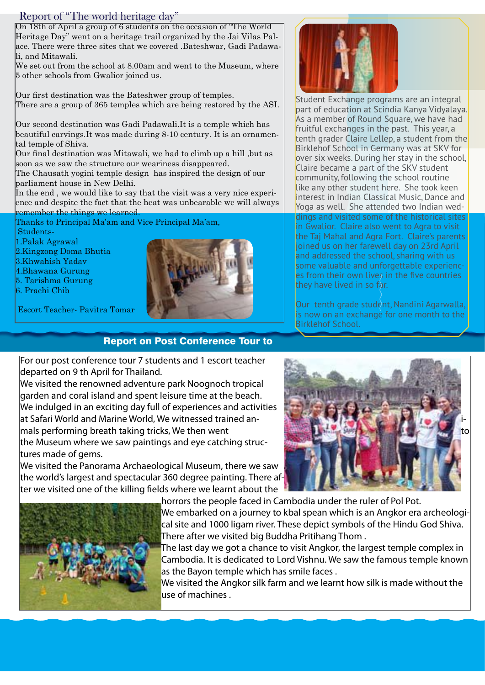### Report of "The world heritage day"

On 18th of April a group of 6 students on the occasion of "The World Heritage Day" went on a heritage trail organized by the Jai Vilas Palace. There were three sites that we covered .Bateshwar, Gadi Padawali, and Mitawali.

We set out from the school at 8.00am and went to the Museum, where 5 other schools from Gwalior joined us.

Our first destination was the Bateshwer group of temples. There are a group of 365 temples which are being restored by the ASI.

Our second destination was Gadi Padawali.It is a temple which has beautiful carvings.It was made during 8-10 century. It is an ornamental temple of Shiva.

Our final destination was Mitawali, we had to climb up a hill ,but as soon as we saw the structure our weariness disappeared.

The Chausath yogini temple design has inspired the design of our parliament house in New Delhi.

In the end, we would like to say that the visit was a very nice experience and despite the fact that the heat was unbearable we will always remember the things we learned.

Thanks to Principal Ma'am and Vice Principal Ma'am,

Students-

1.Palak Agrawal

- 2.Kingzong Doma Bhutia
- 3.Khwahish Yadav
- 4.Bhawana Gurung
- 5. Tarishma Gurung
- 6. Prachi Chib



Escort Teacher- Pavitra Tomar

### Report on Post Conference Tour to

For our post conference tour 7 students and 1 escort teacher departed on 9 th April for Thailand.

We visited the renowned adventure park Noognoch tropical garden and coral island and spent leisure time at the beach. We indulged in an exciting day full of experiences and activities at Safari World and Marine World, We witnessed trained an- imals performing breath taking tricks, We then went the Museum where we saw paintings and eye catching structures made of gems.

We visited the Panorama Archaeological Museum, there we saw the world's largest and spectacular 360 degree painting. There after we visited one of the killing fields where we learnt about the





horrors the people faced in Cambodia under the ruler of Pol Pot. We embarked on a journey to kbal spean which is an Angkor era archeological site and 1000 ligam river. These depict symbols of the Hindu God Shiva. There after we visited big Buddha Pritihang Thom .

The last day we got a chance to visit Angkor, the largest temple complex in Cambodia. It is dedicated to Lord Vishnu. We saw the famous temple known as the Bayon temple which has smile faces.

We visited the Angkor silk farm and we learnt how silk is made without the use of machines.



As a member of Round Square, we have had fruitful exchanges in the past. This year, a tenth grader Claire Lellep, a student from the Birklehof School in Germany was at SKV for over six weeks. During her stay in the school, Claire became a part of the SKV student community, following the school routine like any other student here. She took keen interest in Indian Classical Music, Dance and Yoga as well. She attended two Indian weddings and visited some of the historical sites in Gwalior. Claire also went to Agra to visit the Taj Mahal and Agra Fort. Claire's parents joined us on her farewell day on 23rd April and addressed the school, sharing with us some valuable and unforgettable experiences from their own lives in the five countries they have lived in so far.

Our tenth grade student, Nandini Agarwalla, is now on an exchange for one month to the Birklehof School.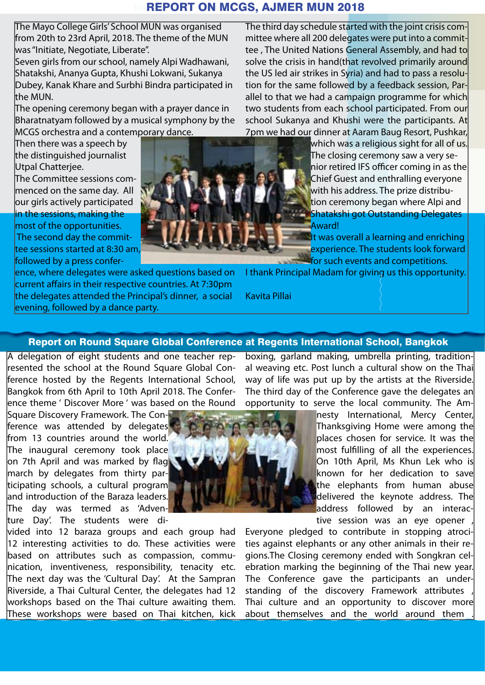### **REPORT ON MCGS, AJMER MUN 2018**

The Mayo College Girls' School MUN was organised from 20th to 23rd April, 2018. The theme of the MUN was "Initiate, Negotiate, Liberate".

Seven girls from our school, namely Alpi Wadhawani, Shatakshi, Ananya Gupta, Khushi Lokwani, Sukanya Dubey, Kanak Khare and Surbhi Bindra participated in the MUN.

The opening ceremony began with a prayer dance in Bharatnatyam followed by a musical symphony by the MCGS orchestra and a contemporary dance.

Then there was a speech by the distinguished journalist Utpal Chatterjee.

The Committee sessions commenced on the same day. All  $\overline{a}$  our girls actively participated in the sessions, making the most of the opportunities. The second day the committee sessions started at 8:30 am

evening, followed by a dance party.

followed by a press conference, where delegates were asked questions based on current affairs in their respective countries. At 7:30pm the delegates attended the Principal's dinner, a social

The third day schedule started with the joint crisis committee where all 200 delegates were put into a committee , The United Nations General Assembly, and had to solve the crisis in hand(that revolved primarily around the US led air strikes in Syria) and had to pass a resolution for the same followed by a feedback session, Parallel to that we had a campaign programme for which two students from each school participated. From our school Sukanya and Khushi were the participants. At 7pm we had our dinner at Aaram Baug Resort, Pushkar,

which was a religious sight for all of us. The closing ceremony saw a very senior retired IFS officer coming in as the Chief Guest and enthralling everyone with his address. The prize distribution ceremony began where Alpi and Shatakshi got Outstanding Delegates Award!

It was overall a learning and enriching experience. The students look forward for such events and competitions.

I thank Principal Madam for giving us this opportunity.

Kavita Pillai

### Report on Round Square Global Conference at Regents International School, Bangkok

A delegation of eight students and one teacher represented the school at the Round Square Global Conference hosted by the Regents International School, Bangkok from 6th April to 10th April 2018. The Conference theme ' Discover More ' was based on the Round

Square Discovery Framework. The Conference was attended by delegates from 13 countries around the world. The inaugural ceremony took place on 7th April and was marked by flag march by delegates from thirty participating schools, a cultural program and introduction of the Baraza leaders. The day was termed as 'Adventure Day'. The students were di-

vided into 12 baraza groups and each group had 12 interesting activities to do. These activities were based on attributes such as compassion, communication, inventiveness, responsibility, tenacity etc. The next day was the 'Cultural Day'. At the Sampran Riverside, a Thai Cultural Center, the delegates had 12 workshops based on the Thai culture awaiting them. These workshops were based on Thai kitchen, kick boxing, garland making, umbrella printing, traditional weaving etc. Post lunch a cultural show on the Thai way of life was put up by the artists at the Riverside. The third day of the Conference gave the delegates an opportunity to serve the local community. The Am-

> nesty International, Mercy Center, Thanksgiving Home were among the places chosen for service. It was the most fulfilling of all the experiences. On 10th April, Ms Khun Lek who is known for her dedication to save the elephants from human abuse delivered the keynote address. The address followed by an interactive session was an eye opener

Everyone pledged to contribute in stopping atrocities against elephants or any other animals in their regions.The Closing ceremony ended with Songkran celebration marking the beginning of the Thai new year. The Conference gave the participants an understanding of the discovery Framework attributes Thai culture and an opportunity to discover more about themselves and the world around them



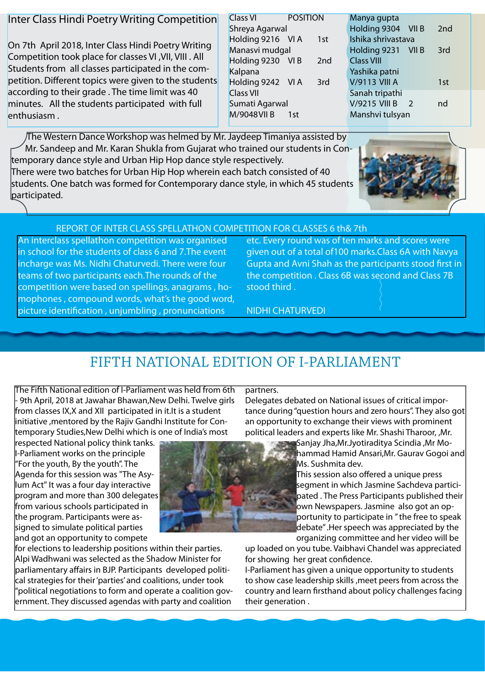### Inter Class Hindi Poetry Writing Competition

On 7th April 2018, Inter Class Hindi Poetry Writing Competition took place for classes VI ,VII, VIII . All Students from all classes participated in the competition. Different topics were given to the students according to their grade . The time limit was 40 minutes. All the students participated with full enthusiasm .

participated.

| Class VI          | <b>POSITION</b> |     |
|-------------------|-----------------|-----|
| Shreya Agarwal    |                 |     |
| Holding 9216 VI A |                 | 1st |
| Manasvi mudgal    |                 |     |
| Holding 9230 VIB  |                 | 2nd |
| Kalpana           |                 |     |
| Holding 9242 VI A |                 | 3rd |
| <b>Class VII</b>  |                 |     |
| Sumati Agarwal    |                 |     |
| M/9048 VII B      | 1st             |     |
|                   |                 |     |

| Manya gupta                           |     |
|---------------------------------------|-----|
| Holding 9304<br>VII B                 | 2nd |
| Ishika shrivastava                    |     |
| Holding 9231 VII B                    | 3rd |
| <b>Class VIII</b>                     |     |
| Yashika patni                         |     |
| <b>V/9113 VIII A</b>                  | 1st |
| Sanah tripathi                        |     |
| <b>V/9215 VIII B</b><br>$\mathcal{P}$ | nd  |
| Manshvi tulsyan                       |     |
|                                       |     |

The Western Dance Workshop was helmed by Mr. Jaydeep Timaniya assisted by Mr. Sandeep and Mr. Karan Shukla from Gujarat who trained our students in Contemporary dance style and Urban Hip Hop dance style respectively. There were two batches for Urban Hip Hop wherein each batch consisted of 40 students. One batch was formed for Contemporary dance style, in which 45 students



### REPORT OF INTER CLASS SPELLATHON COMPETITION FOR CLASSES 6 th& 7th

An interclass spellathon competition was organised in school for the students of class 6 and 7.The event incharge was Ms. Nidhi Chaturvedi. There were four teams of two participants each.The rounds of the competition were based on spellings, anagrams , homophones , compound words, what's the good word, picture identification , unjumbling , pronunciations

etc. Every round was of ten marks and scores were given out of a total of100 marks.Class 6A with Navya Gupta and Avni Shah as the participants stood first in the competition . Class 6B was second and Class 7B stood third .

NIDHI CHATURVEDI

### FIFTH NATIONAL EDITION OF I-PARLIAMENT

The Fifth National edition of I-Parliament was held from 6th - 9th April, 2018 at Jawahar Bhawan,New Delhi. Twelve girls from classes IX,X and XII participated in it.It is a student initiative ,mentored by the Rajiv Gandhi Institute for Contemporary Studies,New Delhi which is one of India's most

respected National policy think tanks. I-Parliament works on the principle "For the youth, By the youth". The Agenda for this session was "The Asylum Act" It was a four day interactive program and more than 300 delegates from various schools participated in the program. Participants were assigned to simulate political parties and got an opportunity to compete

for elections to leadership positions within their parties. Alpi Wadhwani was selected as the Shadow Minister for parliamentary affairs in BJP. Participants developed political strategies for their 'parties' and coalitions, under took "political negotiations to form and operate a coalition government. They discussed agendas with party and coalition

### partners.

Delegates debated on National issues of critical importance during "question hours and zero hours". They also got an opportunity to exchange their views with prominent political leaders and experts like Mr. Shashi Tharoor, ,Mr.

> Sanjay Jha,Mr.Jyotiraditya Scindia ,Mr Mohammad Hamid Ansari,Mr. Gaurav Gogoi and Ms. Sushmita dev.

This session also offered a unique press segment in which Jasmine Sachdeva participated . The Press Participants published their own Newspapers. Jasmine also got an opportunity to participate in " the free to speak debate" .Her speech was appreciated by the organizing committee and her video will be

up loaded on you tube. Vaibhavi Chandel was appreciated for showing her great confidence.

I-Parliament has given a unique opportunity to students to show case leadership skills ,meet peers from across the country and learn firsthand about policy challenges facing their generation .

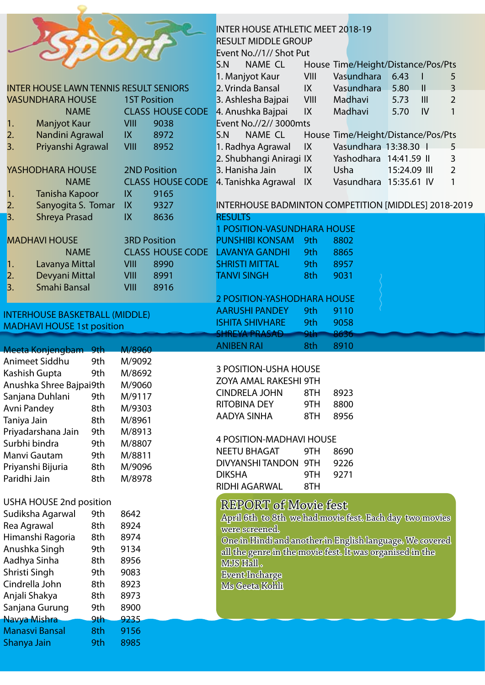|                           |               |                                               |            |                     |                         | <b>INTER HOUSE ATHLETIC MEET 2018-19</b>                 |      |                                    |              |              |                |
|---------------------------|---------------|-----------------------------------------------|------------|---------------------|-------------------------|----------------------------------------------------------|------|------------------------------------|--------------|--------------|----------------|
|                           |               |                                               |            |                     |                         | <b>RESULT MIDDLE GROUP</b>                               |      |                                    |              |              |                |
|                           |               |                                               |            |                     |                         | Event No.//1// Shot Put                                  |      |                                    |              |              |                |
|                           |               |                                               |            |                     |                         | S.N<br><b>NAME CL</b>                                    |      | House Time/Height/Distance/Pos/Pts |              |              |                |
|                           |               |                                               |            |                     |                         | 1. Manjyot Kaur                                          | VIII | Vasundhara                         | 6.43         | L            | 5              |
|                           |               | <b>INTER HOUSE LAWN TENNIS RESULT SENIORS</b> |            |                     |                         | 2. Vrinda Bansal                                         | IX   | Vasundhara                         | 5.80         | $\mathbf{H}$ | 3              |
|                           |               | <b>VASUNDHARA HOUSE</b>                       |            | <b>1ST Position</b> |                         | 3. Ashlesha Bajpai                                       | VIII | Madhavi                            | 5.73         | III          | $\overline{2}$ |
|                           |               | <b>NAME</b>                                   |            |                     | <b>CLASS HOUSE CODE</b> | 4. Anushka Bajpai                                        | IX   | Madhavi                            | 5.70         | IV           | $\mathbf{1}$   |
| 1.                        |               | <b>Manjyot Kaur</b>                           |            | VIII                | 9038                    | Event No.//2// 3000mts                                   |      |                                    |              |              |                |
| 2.                        |               | Nandini Agrawal                               |            | IX                  | 8972                    | S.N<br>NAME CL                                           |      | House Time/Height/Distance/Pos/Pts |              |              |                |
| 3.                        |               | Priyanshi Agrawal                             |            | VIII                | 8952                    | 1. Radhya Agrawal                                        | IX   | Vasundhara 13:38.30                |              |              | 5              |
|                           |               |                                               |            |                     |                         | 2. Shubhangi Aniragi IX                                  |      | Yashodhara 14:41.59 II             |              |              | $\overline{3}$ |
|                           |               | YASHODHARA HOUSE                              |            |                     | <b>2ND Position</b>     | 3. Hanisha Jain                                          | IX   | Usha                               | 15:24.09 III |              | $\overline{2}$ |
|                           |               | <b>NAME</b>                                   |            |                     |                         | CLASS HOUSE CODE 4. Tanishka Agrawal                     | IX   | Vasundhara 15:35.61 IV             |              |              | 1              |
| 1.                        |               | <b>Tanisha Kapoor</b>                         |            | IX                  | 9165                    |                                                          |      |                                    |              |              |                |
| 2.                        |               | Sanyogita S. Tomar                            |            | IX                  | 9327                    | INTERHOUSE BADMINTON COMPETITION [MIDDLES] 2018-2019     |      |                                    |              |              |                |
| $\overline{\mathbf{3}}$ . |               | <b>Shreya Prasad</b>                          |            | IX                  | 8636                    | <b>RESULTS</b>                                           |      |                                    |              |              |                |
|                           |               |                                               |            |                     |                         | 1 POSITION-VASUNDHARA HOUSE                              |      |                                    |              |              |                |
|                           |               | <b>MADHAVI HOUSE</b>                          |            |                     | <b>3RD Position</b>     | <b>PUNSHIBI KONSAM</b>                                   | 9th  | 8802                               |              |              |                |
|                           |               | <b>NAME</b>                                   |            |                     | <b>CLASS HOUSE CODE</b> | <b>LAVANYA GANDHI</b>                                    | 9th  | 8865                               |              |              |                |
| $\vert$ 1.                |               | Lavanya Mittal                                |            | <b>VIII</b>         | 8990                    | <b>SHRISTI MITTAL</b>                                    | 9th  | 8957                               |              |              |                |
| $\overline{\mathbf{2}}$ . |               | Devyani Mittal                                |            | <b>VIII</b>         | 8991                    | <b>TANVI SINGH</b>                                       | 8th  | 9031                               |              |              |                |
| 3.                        |               | Smahi Bansal                                  |            | VIII                | 8916                    |                                                          |      |                                    |              |              |                |
|                           |               |                                               |            |                     |                         | 2 POSITION-YASHODHARA HOUSE                              |      |                                    |              |              |                |
|                           |               | <b>INTERHOUSE BASKETBALL (MIDDLE)</b>         |            |                     |                         | <b>AARUSHI PANDEY</b>                                    | 9th  | 9110                               |              |              |                |
|                           |               |                                               |            |                     |                         |                                                          |      |                                    |              |              |                |
|                           |               |                                               |            |                     |                         | <b>ISHITA SHIVHARE</b>                                   | 9th  | 9058                               |              |              |                |
|                           |               | <b>MADHAVI HOUSE 1st position</b>             |            |                     |                         | <b>SHREYA PRASAD</b>                                     | 9th  | 8636                               |              |              |                |
|                           |               |                                               |            |                     |                         | <b>ANIBEN RAI</b>                                        | 8th  | 8910                               |              |              |                |
|                           |               | Meeta Konjengbam 9th                          |            | M/8960              |                         |                                                          |      |                                    |              |              |                |
|                           |               | Animeet Siddhu                                | 9th        | M/9092              |                         | <b>3 POSITION-USHA HOUSE</b>                             |      |                                    |              |              |                |
|                           |               | Kashish Gupta                                 | 9th        | M/8692              |                         | ZOYA AMAL RAKESHI 9TH                                    |      |                                    |              |              |                |
|                           |               | Anushka Shree Bajpai9th                       |            | M/9060              |                         | <b>CINDRELA JOHN</b>                                     | 8TH  | 8923                               |              |              |                |
|                           |               | Sanjana Duhlani                               | 9th        | M/9117              |                         | <b>RITOBINA DEY</b>                                      | 9TH  | 8800                               |              |              |                |
|                           | Avni Pandey   |                                               | 8th        | M/9303              |                         | <b>AADYA SINHA</b>                                       | 8TH  | 8956                               |              |              |                |
|                           | Taniya Jain   |                                               | 8th        | M/8961              |                         |                                                          |      |                                    |              |              |                |
|                           |               | Priyadarshana Jain                            | 9th        | M/8913              |                         | <b>4 POSITION-MADHAVI HOUSE</b>                          |      |                                    |              |              |                |
|                           |               | Surbhi bindra                                 | 9th        | M/8807              |                         | <b>NEETU BHAGAT</b>                                      | 9TH  | 8690                               |              |              |                |
|                           |               | Manvi Gautam                                  | 9th        | M/8811              |                         | DIVYANSHI TANDON                                         | 9TH  | 9226                               |              |              |                |
|                           |               | Priyanshi Bijuria                             | 8th        | M/9096              |                         | <b>DIKSHA</b>                                            | 9TH  | 9271                               |              |              |                |
|                           | Paridhi Jain  |                                               | 8th        | M/8978              |                         | RIDHI AGARWAL                                            | 8TH  |                                    |              |              |                |
|                           |               |                                               |            |                     |                         |                                                          |      |                                    |              |              |                |
|                           |               | USHA HOUSE 2nd position                       |            |                     |                         | <b>REPORT of Movie fest</b>                              |      |                                    |              |              |                |
|                           |               | Sudiksha Agarwal                              | 9th        | 8642                |                         | April 6th to 8th we had movie fest. Each day two movies  |      |                                    |              |              |                |
|                           | Rea Agrawal   |                                               | 8th        | 8924                |                         | were screened.                                           |      |                                    |              |              |                |
|                           |               | Himanshi Ragoria                              | 8th        | 8974                |                         | One in Hindi and another in English language. We covered |      |                                    |              |              |                |
|                           |               | Anushka Singh                                 | 9th        | 9134                |                         | all the genre in the movie fest. It was organised in the |      |                                    |              |              |                |
|                           |               | Aadhya Sinha                                  | 8th        | 8956                |                         | <b>MJS Hall.</b>                                         |      |                                    |              |              |                |
|                           | Shristi Singh |                                               | 9th        | 9083                |                         | <b>Event Incharge</b>                                    |      |                                    |              |              |                |
|                           |               | Cindrella John                                | 8th        | 8923                |                         | Ms Geeta Kohli                                           |      |                                    |              |              |                |
|                           |               | Anjali Shakya                                 | 8th        | 8973                |                         |                                                          |      |                                    |              |              |                |
|                           |               | Sanjana Gurung                                | 9th        | 8900                |                         |                                                          |      |                                    |              |              |                |
|                           |               | Navya Mishra                                  | 9th        | 9235                |                         |                                                          |      |                                    |              |              |                |
|                           | Shanya Jain   | <b>Manasvi Bansal</b>                         | 8th<br>9th | 9156<br>8985        |                         |                                                          |      |                                    |              |              |                |